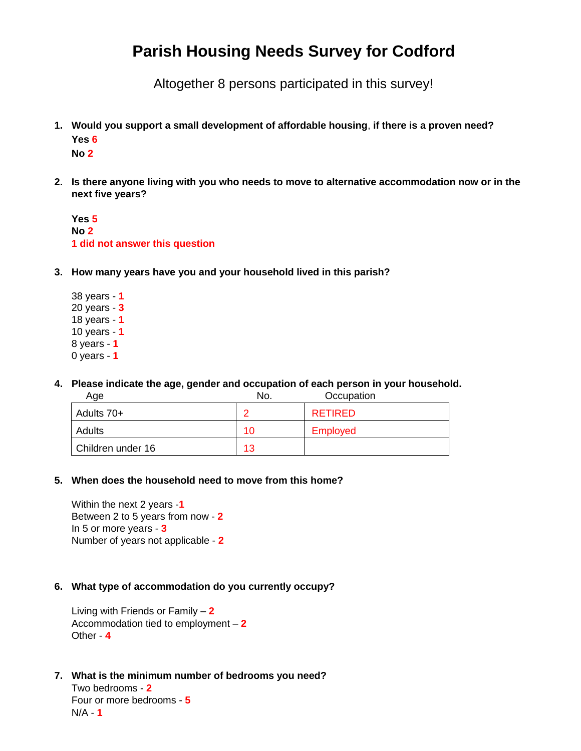# **Parish Housing Needs Survey for Codford**

Altogether 8 persons participated in this survey!

**1. Would you support a small development of affordable housing**, **if there is a proven need? Yes 6**

**No 2**

**2. Is there anyone living with you who needs to move to alternative accommodation now or in the next five years?** 

**Yes 5 No 2 1 did not answer this question**

- **3. How many years have you and your household lived in this parish?** 
	- 38 years **1** 20 years - **3** 18 years - **1** 10 years - **1** 8 years - **1** 0 years - **1**
- **4. Please indicate the age, gender and occupation of each person in your household.**

| Age               | No. | Occupation      |
|-------------------|-----|-----------------|
| Adults 70+        | 0   | <b>RETIRED</b>  |
| Adults            | 10  | <b>Employed</b> |
| Children under 16 | 13  |                 |

**5. When does the household need to move from this home?** 

Within the next 2 years -**1** Between 2 to 5 years from now - **2** In 5 or more years - **3** Number of years not applicable - **2**

# **6. What type of accommodation do you currently occupy?**

Living with Friends or Family – **2** Accommodation tied to employment – **2** Other - **4**

**7. What is the minimum number of bedrooms you need?**

Two bedrooms - **2** Four or more bedrooms - **5** N/A - **1**